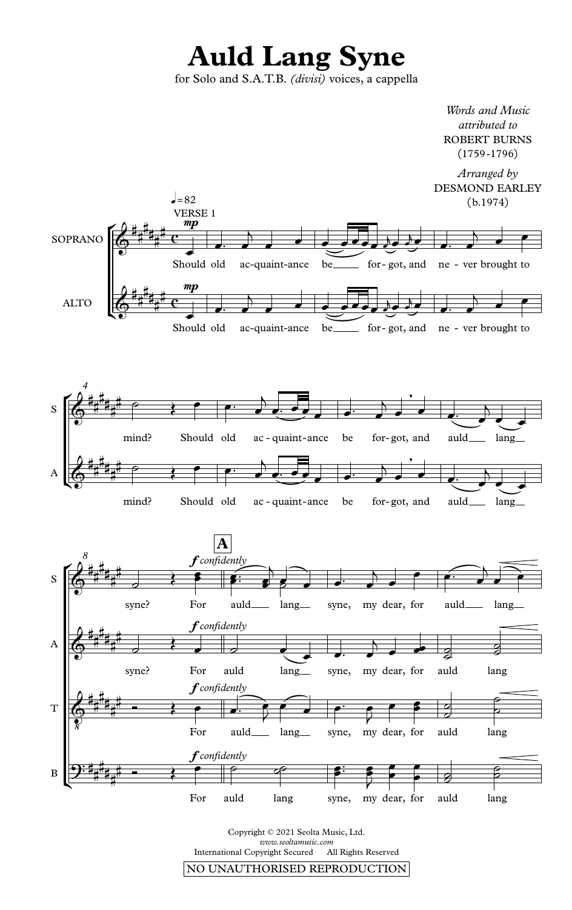## **Auld Lang Syne**

for Solo and S.A.T.B. *(divisi)* voices, a cappella



Copyright © 2021 Seolta Music, Ltd. *www.seoltamusic.com* International Copyright Secured NO UNAUTHORISED REPRODUCTION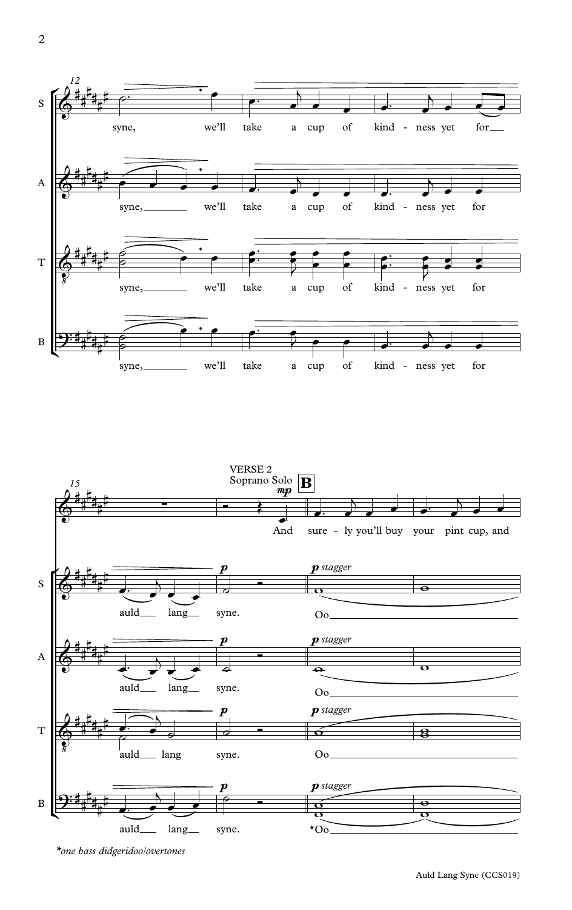



\*one bass didgeridoo/overtones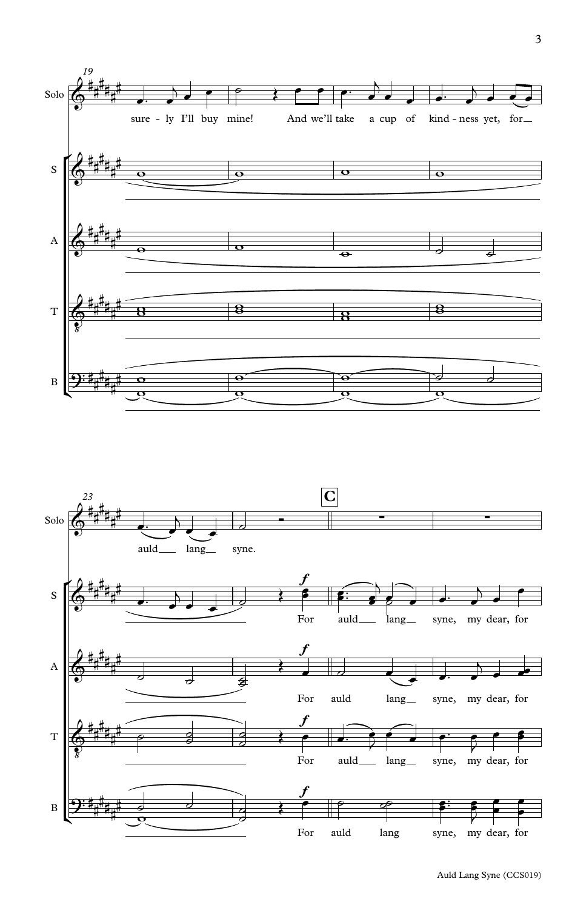